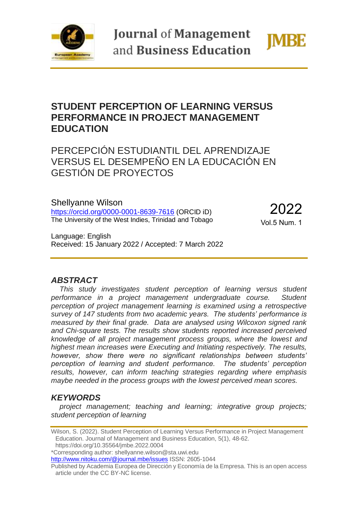

**Journal of Management** and Business Education



# **STUDENT PERCEPTION OF LEARNING VERSUS PERFORMANCE IN PROJECT MANAGEMENT EDUCATION**

PERCEPCIÓN ESTUDIANTIL DEL APRENDIZAJE VERSUS EL DESEMPEÑO EN LA EDUCACIÓN EN GESTIÓN DE PROYECTOS

Shellyanne Wilson <https://orcid.org/0000-0001-8639-7616> (ORCID iD) The University of the West Indies, Trinidad and Tobago

2022 Vol.5 Num. 1

Language: English Received: 15 January 2022 / Accepted: 7 March 2022

### *ABSTRACT*

*This study investigates student perception of learning versus student performance in a project management undergraduate course. Student perception of project management learning is examined using a retrospective survey of 147 students from two academic years. The students' performance is measured by their final grade. Data are analysed using Wilcoxon signed rank and Chi-square tests. The results show students reported increased perceived knowledge of all project management process groups, where the lowest and highest mean increases were Executing and Initiating respectively. The results, however, show there were no significant relationships between students' perception of learning and student performance. The students' perception results, however, can inform teaching strategies regarding where emphasis maybe needed in the process groups with the lowest perceived mean scores.* 

## *KEYWORDS*

*project management; teaching and learning; integrative group projects; student perception of learning*

https://doi.org/10.35564/jmbe.2022.0004

\*Corresponding author: shellyanne.wilson@sta.uwi.edu

<http://www.nitoku.com/@journal.mbe/issues> ISSN: 2605-1044

Wilson, S. (2022). Student Perception of Learning Versus Performance in Project Management Education. Journal of Management and Business Education, 5(1), 48-62.

Published by Academia Europea de Dirección y Economía de la Empresa. This is an open access article under the CC BY-NC license.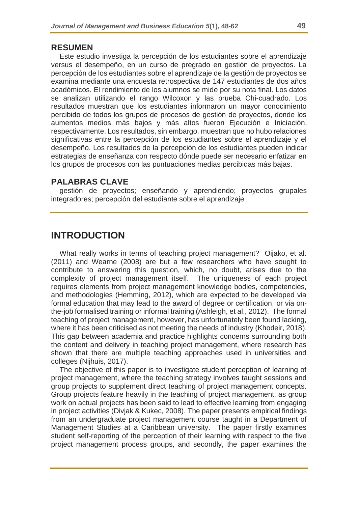#### **RESUMEN**

Este estudio investiga la percepción de los estudiantes sobre el aprendizaje versus el desempeño, en un curso de pregrado en gestión de proyectos. La percepción de los estudiantes sobre el aprendizaje de la gestión de proyectos se examina mediante una encuesta retrospectiva de 147 estudiantes de dos años académicos. El rendimiento de los alumnos se mide por su nota final. Los datos se analizan utilizando el rango Wilcoxon y las prueba Chi-cuadrado. Los resultados muestran que los estudiantes informaron un mayor conocimiento percibido de todos los grupos de procesos de gestión de proyectos, donde los aumentos medios más bajos y más altos fueron Ejecución e Iniciación, respectivamente. Los resultados, sin embargo, muestran que no hubo relaciones significativas entre la percepción de los estudiantes sobre el aprendizaje y el desempeño. Los resultados de la percepción de los estudiantes pueden indicar estrategias de enseñanza con respecto dónde puede ser necesario enfatizar en los grupos de procesos con las puntuaciones medias percibidas más bajas.

### **PALABRAS CLAVE**

gestión de proyectos; enseñando y aprendiendo; proyectos grupales integradores; percepción del estudiante sobre el aprendizaje

## **INTRODUCTION**

What really works in terms of teaching project management? Oijako, et al. (2011) and Wearne (2008) are but a few researchers who have sought to contribute to answering this question, which, no doubt, arises due to the complexity of project management itself. The uniqueness of each project requires elements from project management knowledge bodies, competencies, and methodologies (Hemming, 2012), which are expected to be developed via formal education that may lead to the award of degree or certification, or via onthe-job formalised training or informal training (Ashleigh, et al., 2012). The formal teaching of project management, however, has unfortunately been found lacking, where it has been criticised as not meeting the needs of industry (Khodeir, 2018). This gap between academia and practice highlights concerns surrounding both the content and delivery in teaching project management, where research has shown that there are multiple teaching approaches used in universities and colleges (Nijhuis, 2017).

The objective of this paper is to investigate student perception of learning of project management, where the teaching strategy involves taught sessions and group projects to supplement direct teaching of project management concepts. Group projects feature heavily in the teaching of project management, as group work on actual projects has been said to lead to effective learning from engaging in project activities (Divjak & Kukec, 2008). The paper presents empirical findings from an undergraduate project management course taught in a Department of Management Studies at a Caribbean university. The paper firstly examines student self-reporting of the perception of their learning with respect to the five project management process groups, and secondly, the paper examines the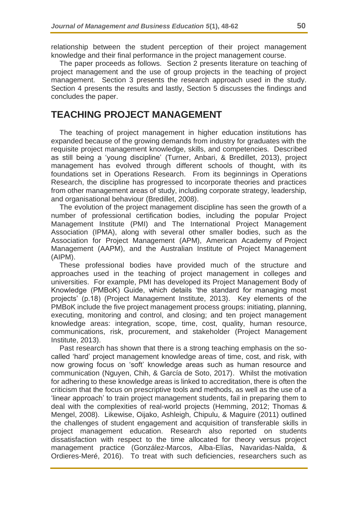relationship between the student perception of their project management knowledge and their final performance in the project management course.

The paper proceeds as follows. Section 2 presents literature on teaching of project management and the use of group projects in the teaching of project management. Section 3 presents the research approach used in the study. Section 4 presents the results and lastly, Section 5 discusses the findings and concludes the paper.

## **TEACHING PROJECT MANAGEMENT**

The teaching of project management in higher education institutions has expanded because of the growing demands from industry for graduates with the requisite project management knowledge, skills, and competencies. Described as still being a 'young discipline' (Turner, Anbari, & Bredillet, 2013), project management has evolved through different schools of thought, with its foundations set in Operations Research. From its beginnings in Operations Research, the discipline has progressed to incorporate theories and practices from other management areas of study, including corporate strategy, leadership, and organisational behaviour (Bredillet, 2008).

The evolution of the project management discipline has seen the growth of a number of professional certification bodies, including the popular Project Management Institute (PMI) and The International Project Management Association (IPMA), along with several other smaller bodies, such as the Association for Project Management (APM), American Academy of Project Management (AAPM), and the Australian Institute of Project Management (AIPM).

These professional bodies have provided much of the structure and approaches used in the teaching of project management in colleges and universities. For example, PMI has developed its Project Management Body of Knowledge (PMBoK) Guide, which details 'the standard for managing most projects' (p.18) (Project Management Institute, 2013). Key elements of the PMBoK include the five project management process groups: initiating, planning, executing, monitoring and control, and closing; and ten project management knowledge areas: integration, scope, time, cost, quality, human resource, communications, risk, procurement, and stakeholder (Project Management Institute, 2013).

Past research has shown that there is a strong teaching emphasis on the socalled 'hard' project management knowledge areas of time, cost, and risk, with now growing focus on 'soft' knowledge areas such as human resource and communication (Nguyen, Chih, & García de Soto, 2017). Whilst the motivation for adhering to these knowledge areas is linked to accreditation, there is often the criticism that the focus on prescriptive tools and methods, as well as the use of a 'linear approach' to train project management students, fail in preparing them to deal with the complexities of real-world projects (Hemming, 2012; Thomas & Mengel, 2008). Likewise, Oijako, Ashleigh, Chipulu, & Maguire (2011) outlined the challenges of student engagement and acquisition of transferable skills in project management education. Research also reported on students dissatisfaction with respect to the time allocated for theory versus project management practice (González-Marcos, Alba-Elías, Navaridas-Nalda, & Ordieres-Meré, 2016). To treat with such deficiencies, researchers such as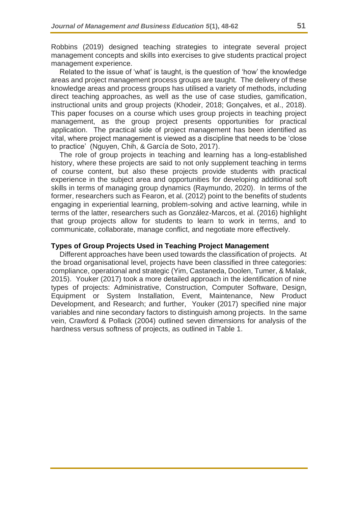Robbins (2019) designed teaching strategies to integrate several project management concepts and skills into exercises to give students practical project management experience.

Related to the issue of 'what' is taught, is the question of 'how' the knowledge areas and project management process groups are taught. The delivery of these knowledge areas and process groups has utilised a variety of methods, including direct teaching approaches, as well as the use of case studies, gamification, instructional units and group projects (Khodeir, 2018; Gonçalves, et al., 2018). This paper focuses on a course which uses group projects in teaching project management, as the group project presents opportunities for practical application. The practical side of project management has been identified as vital, where project management is viewed as a discipline that needs to be 'close to practice' (Nguyen, Chih, & García de Soto, 2017).

The role of group projects in teaching and learning has a long-established history, where these projects are said to not only supplement teaching in terms of course content, but also these projects provide students with practical experience in the subject area and opportunities for developing additional soft skills in terms of managing group dynamics (Raymundo, 2020). In terms of the former, researchers such as Fearon, et al. (2012) point to the benefits of students engaging in experiential learning, problem-solving and active learning, while in terms of the latter, researchers such as González-Marcos, et al. (2016) highlight that group projects allow for students to learn to work in terms, and to communicate, collaborate, manage conflict, and negotiate more effectively.

#### **Types of Group Projects Used in Teaching Project Management**

Different approaches have been used towards the classification of projects. At the broad organisational level, projects have been classified in three categories: compliance, operational and strategic (Yim, Castaneda, Doolen, Tumer, & Malak, 2015). Youker (2017) took a more detailed approach in the identification of nine types of projects: Administrative, Construction, Computer Software, Design, Equipment or System Installation, Event, Maintenance, New Product Development, and Research; and further, Youker (2017) specified nine major variables and nine secondary factors to distinguish among projects. In the same vein, Crawford & Pollack (2004) outlined seven dimensions for analysis of the hardness versus softness of projects, as outlined in Table 1.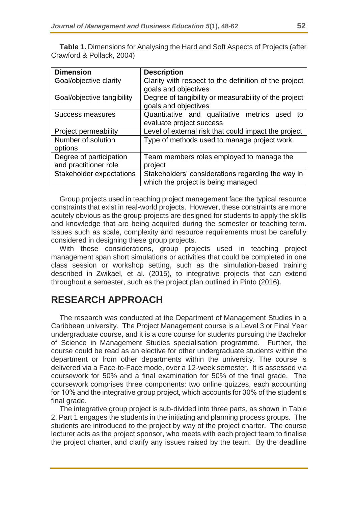| <b>Dimension</b>            | <b>Description</b>                                    |  |  |  |  |  |
|-----------------------------|-------------------------------------------------------|--|--|--|--|--|
| Goal/objective clarity      | Clarity with respect to the definition of the project |  |  |  |  |  |
|                             | goals and objectives                                  |  |  |  |  |  |
| Goal/objective tangibility  | Degree of tangibility or measurability of the project |  |  |  |  |  |
|                             | goals and objectives                                  |  |  |  |  |  |
| Success measures            | Quantitative and qualitative metrics used<br>to       |  |  |  |  |  |
|                             | evaluate project success                              |  |  |  |  |  |
| <b>Project permeability</b> | Level of external risk that could impact the project  |  |  |  |  |  |
| Number of solution          | Type of methods used to manage project work           |  |  |  |  |  |
| options                     |                                                       |  |  |  |  |  |
| Degree of participation     | Team members roles employed to manage the             |  |  |  |  |  |
| and practitioner role       | project                                               |  |  |  |  |  |
| Stakeholder expectations    | Stakeholders' considerations regarding the way in     |  |  |  |  |  |
|                             | which the project is being managed                    |  |  |  |  |  |

**Table 1.** Dimensions for Analysing the Hard and Soft Aspects of Projects (after Crawford & Pollack, 2004)

Group projects used in teaching project management face the typical resource constraints that exist in real-world projects. However, these constraints are more acutely obvious as the group projects are designed for students to apply the skills and knowledge that are being acquired during the semester or teaching term. Issues such as scale, complexity and resource requirements must be carefully considered in designing these group projects.

With these considerations, group projects used in teaching project management span short simulations or activities that could be completed in one class session or workshop setting, such as the simulation-based training described in Zwikael, et al. (2015), to integrative projects that can extend throughout a semester, such as the project plan outlined in Pinto (2016).

# **RESEARCH APPROACH**

The research was conducted at the Department of Management Studies in a Caribbean university. The Project Management course is a Level 3 or Final Year undergraduate course, and it is a core course for students pursuing the Bachelor of Science in Management Studies specialisation programme. Further, the course could be read as an elective for other undergraduate students within the department or from other departments within the university. The course is delivered via a Face-to-Face mode, over a 12-week semester. It is assessed via coursework for 50% and a final examination for 50% of the final grade. The coursework comprises three components: two online quizzes, each accounting for 10% and the integrative group project, which accounts for 30% of the student's final grade.

The integrative group project is sub-divided into three parts, as shown in Table 2. Part 1 engages the students in the initiating and planning process groups. The students are introduced to the project by way of the project charter. The course lecturer acts as the project sponsor, who meets with each project team to finalise the project charter, and clarify any issues raised by the team. By the deadline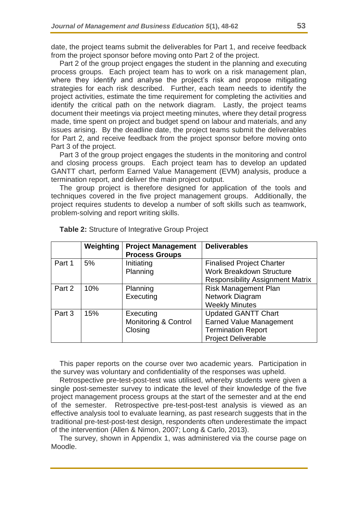date, the project teams submit the deliverables for Part 1, and receive feedback from the project sponsor before moving onto Part 2 of the project.

Part 2 of the group project engages the student in the planning and executing process groups. Each project team has to work on a risk management plan, where they identify and analyse the project's risk and propose mitigating strategies for each risk described. Further, each team needs to identify the project activities, estimate the time requirement for completing the activities and identify the critical path on the network diagram. Lastly, the project teams document their meetings via project meeting minutes, where they detail progress made, time spent on project and budget spend on labour and materials, and any issues arising. By the deadline date, the project teams submit the deliverables for Part 2, and receive feedback from the project sponsor before moving onto Part 3 of the project.

Part 3 of the group project engages the students in the monitoring and control and closing process groups. Each project team has to develop an updated GANTT chart, perform Earned Value Management (EVM) analysis, produce a termination report, and deliver the main project output.

The group project is therefore designed for application of the tools and techniques covered in the five project management groups. Additionally, the project requires students to develop a number of soft skills such as teamwork, problem-solving and report writing skills.

|        | Weighting | <b>Project Management</b><br><b>Process Groups</b> | <b>Deliverables</b>                     |
|--------|-----------|----------------------------------------------------|-----------------------------------------|
| Part 1 | 5%        | Initiating                                         | <b>Finalised Project Charter</b>        |
|        |           | Planning                                           | <b>Work Breakdown Structure</b>         |
|        |           |                                                    | <b>Responsibility Assignment Matrix</b> |
| Part 2 | 10%       | Planning                                           | <b>Risk Management Plan</b>             |
|        |           | Executing                                          | Network Diagram                         |
|        |           |                                                    | <b>Weekly Minutes</b>                   |
| Part 3 | 15%       | Executing                                          | <b>Updated GANTT Chart</b>              |
|        |           | <b>Monitoring &amp; Control</b>                    | <b>Earned Value Management</b>          |
|        |           | Closing                                            | <b>Termination Report</b>               |
|        |           |                                                    | <b>Project Deliverable</b>              |

**Table 2:** Structure of Integrative Group Project

This paper reports on the course over two academic years. Participation in the survey was voluntary and confidentiality of the responses was upheld.

Retrospective pre-test-post-test was utilised, whereby students were given a single post-semester survey to indicate the level of their knowledge of the five project management process groups at the start of the semester and at the end of the semester. Retrospective pre-test-post-test analysis is viewed as an effective analysis tool to evaluate learning, as past research suggests that in the traditional pre-test-post-test design, respondents often underestimate the impact of the intervention (Allen & Nimon, 2007; Long & Carlo, 2013).

The survey, shown in Appendix 1, was administered via the course page on Moodle.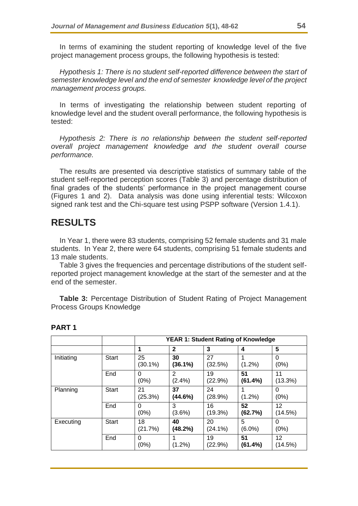In terms of examining the student reporting of knowledge level of the five project management process groups, the following hypothesis is tested:

*Hypothesis 1: There is no student self-reported difference between the start of semester knowledge level and the end of semester knowledge level of the project management process groups.*

In terms of investigating the relationship between student reporting of knowledge level and the student overall performance, the following hypothesis is tested:

*Hypothesis 2: There is no relationship between the student self-reported overall project management knowledge and the student overall course performance.*

The results are presented via descriptive statistics of summary table of the student self-reported perception scores (Table 3) and percentage distribution of final grades of the students' performance in the project management course (Figures 1 and 2). Data analysis was done using inferential tests: Wilcoxon signed rank test and the Chi-square test using PSPP software (Version 1.4.1).

## **RESULTS**

In Year 1, there were 83 students, comprising 52 female students and 31 male students. In Year 2, there were 64 students, comprising 51 female students and 13 male students.

Table 3 gives the frequencies and percentage distributions of the student selfreported project management knowledge at the start of the semester and at the end of the semester.

**Table 3:** Percentage Distribution of Student Rating of Project Management Process Groups Knowledge

|            |              | <b>YEAR 1: Student Rating of Knowledge</b> |                |                  |                |                  |
|------------|--------------|--------------------------------------------|----------------|------------------|----------------|------------------|
|            |              | 1                                          | $\mathbf{2}$   | 3                | 4              | 5                |
| Initiating | <b>Start</b> | 25<br>$(30.1\%)$                           | 30<br>(36.1%)  | 27<br>(32.5%)    | $(1.2\%)$      | 0<br>(0%)        |
|            | End          | 0<br>(0%)                                  | 2<br>$(2.4\%)$ | 19<br>(22.9%)    | 51<br>(61.4%)  | 11<br>(13.3%)    |
| Planning   | <b>Start</b> | 21<br>(25.3%)                              | 37<br>(44.6%)  | 24<br>(28.9%)    | $(1.2\%)$      | 0<br>(0%)        |
|            | End          | 0<br>(0%)                                  | 3<br>$(3.6\%)$ | 16<br>(19.3%)    | 52<br>(62.7%)  | 12<br>(14.5%)    |
| Executing  | Start        | 18<br>(21.7%)                              | 40<br>(48.2%)  | 20<br>$(24.1\%)$ | 5<br>$(6.0\%)$ | $\Omega$<br>(0%) |
|            | End          | 0<br>(0%)                                  | 1<br>$(1.2\%)$ | 19<br>(22.9%)    | 51<br>(61.4%)  | 12<br>(14.5%)    |

#### **PART 1**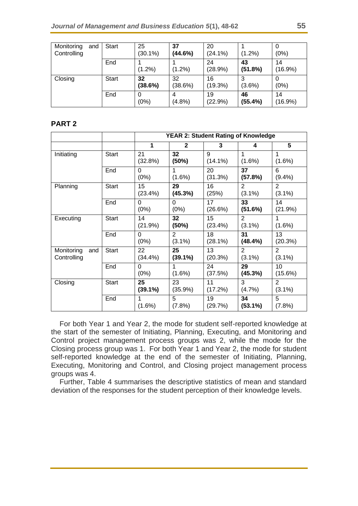| Monitoring<br>and<br>Controlling | <b>Start</b> | 25<br>$(30.1\%)$ | 37<br>(44.6%) | 20<br>$(24.1\%)$ | $(1.2\%)$     | (0%)             |
|----------------------------------|--------------|------------------|---------------|------------------|---------------|------------------|
|                                  | End          | $(1.2\%)$        | $(1.2\%)$     | 24<br>(28.9%)    | 43<br>(51.8%) | 14<br>$(16.9\%)$ |
| Closing                          | <b>Start</b> | 32<br>(38.6%)    | 32<br>(38.6%) | 16<br>(19.3%)    | $(3.6\%)$     | (0%)             |
|                                  | End          | (0%)             | $(4.8\%)$     | 19<br>(22.9%)    | 46<br>(55.4%) | 14<br>$(16.9\%)$ |

### **PART 2**

|                                  |              | <b>YEAR 2: Student Rating of Knowledge</b> |                  |                 |                             |                             |
|----------------------------------|--------------|--------------------------------------------|------------------|-----------------|-----------------------------|-----------------------------|
|                                  |              | 1                                          | $\mathbf{2}$     | 3               | 4                           | $5\phantom{1}$              |
| Initiating                       | <b>Start</b> | 21<br>(32.8%)                              | 32<br>(50%)      | 9<br>$(14.1\%)$ | 1<br>$(1.6\%)$              | 1<br>$(1.6\%)$              |
|                                  | End          | 0<br>(0%)                                  | 1<br>$(1.6\%)$   | 20<br>(31.3%)   | 37<br>(57.8%)               | 6<br>$(9.4\%)$              |
| Planning                         | <b>Start</b> | 15<br>(23.4%)                              | 29<br>(45.3%)    | 16<br>(25%)     | 2<br>$(3.1\%)$              | 2<br>$(3.1\%)$              |
|                                  | End          | 0<br>(0%)                                  | 0<br>(0%)        | 17<br>(26.6%)   | 33<br>(51.6%)               | 14<br>(21.9%)               |
| Executing                        | <b>Start</b> | 14<br>(21.9%)                              | 32<br>(50%)      | 15<br>(23.4%)   | $\overline{2}$<br>$(3.1\%)$ | 1<br>$(1.6\%)$              |
|                                  | End          | 0<br>(0%)                                  | 2<br>$(3.1\%)$   | 18<br>(28.1%)   | 31<br>(48.4%)               | 13<br>(20.3%)               |
| Monitoring<br>and<br>Controlling | <b>Start</b> | 22<br>(34.4%)                              | 25<br>$(39.1\%)$ | 13<br>(20.3%)   | $\overline{2}$<br>$(3.1\%)$ | 2<br>$(3.1\%)$              |
|                                  | End          | 0<br>(0%)                                  | 1<br>$(1.6\%)$   | 24<br>(37.5%)   | 29<br>(45.3%)               | 10<br>$(15.6\%)$            |
| Closing                          | <b>Start</b> | 25<br>$(39.1\%)$                           | 23<br>(35.9%)    | 11<br>(17.2%)   | 3<br>(4.7%)                 | $\overline{2}$<br>$(3.1\%)$ |
|                                  | End          | 1<br>$(1.6\%)$                             | 5<br>(7.8%)      | 19<br>(29.7%)   | 34<br>$(53.1\%)$            | 5<br>(7.8%)                 |

For both Year 1 and Year 2, the mode for student self-reported knowledge at the start of the semester of Initiating, Planning, Executing, and Monitoring and Control project management process groups was 2, while the mode for the Closing process group was 1. For both Year 1 and Year 2, the mode for student self-reported knowledge at the end of the semester of Initiating, Planning, Executing, Monitoring and Control, and Closing project management process groups was 4.

Further, Table 4 summarises the descriptive statistics of mean and standard deviation of the responses for the student perception of their knowledge levels.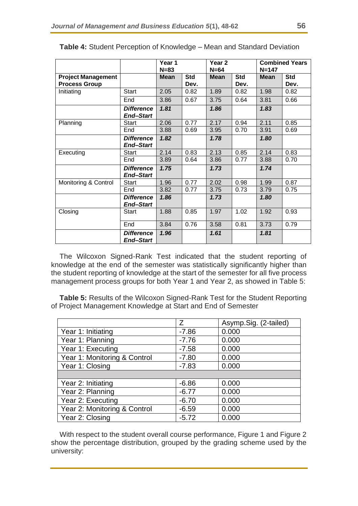|                                                   |                                       | Year 1<br>$N = 83$ |                    | Year <sub>2</sub><br>$N=64$ |                    | <b>Combined Years</b><br>$N = 147$ |                    |
|---------------------------------------------------|---------------------------------------|--------------------|--------------------|-----------------------------|--------------------|------------------------------------|--------------------|
| <b>Project Management</b><br><b>Process Group</b> |                                       | <b>Mean</b>        | <b>Std</b><br>Dev. | <b>Mean</b>                 | <b>Std</b><br>Dev. | <b>Mean</b>                        | <b>Std</b><br>Dev. |
| Initiating                                        | <b>Start</b>                          | 2.05               | 0.82               | 1.89                        | 0.82               | 1.98                               | 0.82               |
|                                                   | End                                   | 3.86               | 0.67               | 3.75                        | 0.64               | 3.81                               | 0.66               |
|                                                   | <b>Difference</b><br><b>End-Start</b> | 1.81               |                    | 1.86                        |                    | 1.83                               |                    |
| Planning                                          | Start                                 | 2.06               | 0.77               | 2.17                        | 0.94               | 2.11                               | 0.85               |
|                                                   | End                                   | 3.88               | 0.69               | 3.95                        | 0.70               | 3.91                               | 0.69               |
|                                                   | <b>Difference</b><br><b>End-Start</b> | 1.82               |                    | 1.78                        |                    | 1.80                               |                    |
| Executing                                         | Start                                 | 2.14               | 0.83               | 2.13                        | 0.85               | 2.14                               | 0.83               |
|                                                   | End                                   | 3.89               | 0.64               | 3.86                        | 0.77               | 3.88                               | 0.70               |
|                                                   | <b>Difference</b><br><b>End-Start</b> | 1.75               |                    | 1.73                        |                    | 1.74                               |                    |
| Monitoring & Control                              | Start                                 | 1.96               | 0.77               | 2.02                        | 0.98               | 1.99                               | 0.87               |
|                                                   | End                                   | 3.82               | 0.77               | 3.75                        | 0.73               | 3.79                               | 0.75               |
|                                                   | <b>Difference</b><br><b>End-Start</b> | 1.86               |                    | 1.73                        |                    | 1.80                               |                    |
| Closing                                           | <b>Start</b>                          | 1.88               | 0.85               | 1.97                        | 1.02               | 1.92                               | 0.93               |
|                                                   | End                                   | 3.84               | 0.76               | 3.58                        | 0.81               | 3.73                               | 0.79               |
|                                                   | <b>Difference</b><br><b>End-Start</b> | 1.96               |                    | 1.61                        |                    | 1.81                               |                    |

**Table 4:** Student Perception of Knowledge – Mean and Standard Deviation

The Wilcoxon Signed-Rank Test indicated that the student reporting of knowledge at the end of the semester was statistically significantly higher than the student reporting of knowledge at the start of the semester for all five process management process groups for both Year 1 and Year 2, as showed in Table 5:

**Table 5:** Results of the Wilcoxon Signed-Rank Test for the Student Reporting of Project Management Knowledge at Start and End of Semester

|                              | Z       | Asymp.Sig. (2-tailed) |
|------------------------------|---------|-----------------------|
| Year 1: Initiating           | $-7.86$ | 0.000                 |
| Year 1: Planning             | $-7.76$ | 0.000                 |
| Year 1: Executing            | $-7.58$ | 0.000                 |
| Year 1: Monitoring & Control | $-7.80$ | 0.000                 |
| Year 1: Closing              | $-7.83$ | 0.000                 |
|                              |         |                       |
| Year 2: Initiating           | $-6.86$ | 0.000                 |
| Year 2: Planning             | $-6.77$ | 0.000                 |
| Year 2: Executing            | $-6.70$ | 0.000                 |
| Year 2: Monitoring & Control | $-6.59$ | 0.000                 |
| Year 2: Closing              | $-5.72$ | 0.000                 |

With respect to the student overall course performance, Figure 1 and Figure 2 show the percentage distribution, grouped by the grading scheme used by the university: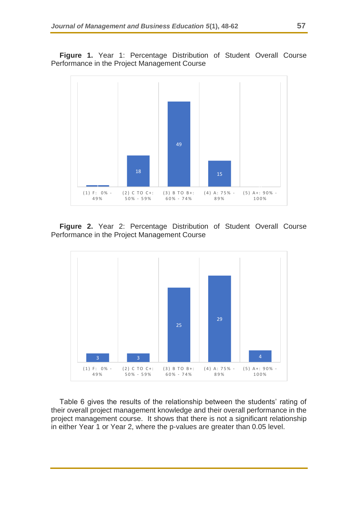**Figure 1.** Year 1: Percentage Distribution of Student Overall Course Performance in the Project Management Course



**Figure 2.** Year 2: Percentage Distribution of Student Overall Course Performance in the Project Management Course



Table 6 gives the results of the relationship between the students' rating of their overall project management knowledge and their overall performance in the project management course. It shows that there is not a significant relationship in either Year 1 or Year 2, where the p-values are greater than 0.05 level.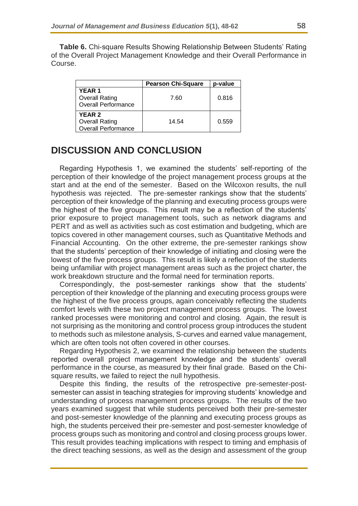**Table 6.** Chi-square Results Showing Relationship Between Students' Rating of the Overall Project Management Knowledge and their Overall Performance in Course.

|                                                                      | <b>Pearson Chi-Square</b> | p-value |
|----------------------------------------------------------------------|---------------------------|---------|
| <b>YEAR1</b><br><b>Overall Rating</b><br><b>Overall Performance</b>  | 7.60                      | 0.816   |
| <b>YEAR 2</b><br><b>Overall Rating</b><br><b>Overall Performance</b> | 14.54                     | 0.559   |

## **DISCUSSION AND CONCLUSION**

Regarding Hypothesis 1, we examined the students' self-reporting of the perception of their knowledge of the project management process groups at the start and at the end of the semester. Based on the Wilcoxon results, the null hypothesis was rejected. The pre-semester rankings show that the students' perception of their knowledge of the planning and executing process groups were the highest of the five groups. This result may be a reflection of the students' prior exposure to project management tools, such as network diagrams and PERT and as well as activities such as cost estimation and budgeting, which are topics covered in other management courses, such as Quantitative Methods and Financial Accounting. On the other extreme, the pre-semester rankings show that the students' perception of their knowledge of initiating and closing were the lowest of the five process groups. This result is likely a reflection of the students being unfamiliar with project management areas such as the project charter, the work breakdown structure and the formal need for termination reports.

Correspondingly, the post-semester rankings show that the students' perception of their knowledge of the planning and executing process groups were the highest of the five process groups, again conceivably reflecting the students comfort levels with these two project management process groups. The lowest ranked processes were monitoring and control and closing. Again, the result is not surprising as the monitoring and control process group introduces the student to methods such as milestone analysis, S-curves and earned value management, which are often tools not often covered in other courses.

Regarding Hypothesis 2, we examined the relationship between the students reported overall project management knowledge and the students' overall performance in the course, as measured by their final grade. Based on the Chisquare results, we failed to reject the null hypothesis.

Despite this finding, the results of the retrospective pre-semester-postsemester can assist in teaching strategies for improving students' knowledge and understanding of process management process groups. The results of the two years examined suggest that while students perceived both their pre-semester and post-semester knowledge of the planning and executing process groups as high, the students perceived their pre-semester and post-semester knowledge of process groups such as monitoring and control and closing process groups lower. This result provides teaching implications with respect to timing and emphasis of the direct teaching sessions, as well as the design and assessment of the group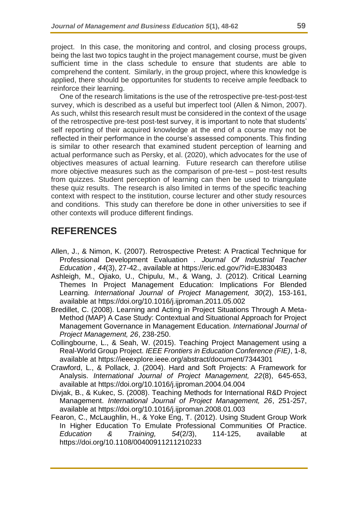project. In this case, the monitoring and control, and closing process groups, being the last two topics taught in the project management course, must be given sufficient time in the class schedule to ensure that students are able to comprehend the content. Similarly, in the group project, where this knowledge is applied, there should be opportunites for students to receive ample feedback to reinforce their learning.

One of the research limitations is the use of the retrospective pre-test-post-test survey, which is described as a useful but imperfect tool (Allen & Nimon, 2007). As such, whilst this research result must be considered in the context of the usage of the retrospective pre-test post-test survey, it is important to note that students' self reporting of their acquired knowledge at the end of a course may not be reflected in their performance in the course's assessed components. This finding is similar to other research that examined student perception of learning and actual performance such as Persky, et al. (2020), which advocates for the use of objectives measures of actual learning. Future research can therefore utilise more objective measures such as the comparison of pre-test – post-test results from quizzes. Student perception of learning can then be used to triangulate these quiz results. The research is also limited in terms of the specific teaching context with respect to the institution, course lecturer and other study resources and conditions. This study can therefore be done in other universities to see if other contexts will produce different findings.

# **REFERENCES**

- Allen, J., & Nimon, K. (2007). Retrospective Pretest: A Practical Technique for Professional Development Evaluation . *Journal Of Industrial Teacher Education , 44*(3), 27-42., available at https://eric.ed.gov/?id=EJ830483
- Ashleigh, M., Ojiako, U., Chipulu, M., & Wang, J. (2012). Critical Learning Themes In Project Management Education: Implications For Blended Learning. *International Journal of Project Management, 30*(2), 153-161, available at https://doi.org/10.1016/j.ijproman.2011.05.002
- Bredillet, C. (2008). Learning and Acting in Project Situations Through A Meta-Method (MAP) A Case Study: Contextual and Situational Approach for Project Management Governance in Management Education. *International Journal of Project Management, 26*, 238-250.
- Collingbourne, L., & Seah, W. (2015). Teaching Project Management using a Real-World Group Project. *IEEE Frontiers in Education Conference (FIE)*, 1-8, available at https://ieeexplore.ieee.org/abstract/document/7344301
- Crawford, L., & Pollack, J. (2004). Hard and Soft Projects: A Framework for Analysis. *International Journal of Project Management, 22*(8), 645-653, available at https://doi.org/10.1016/j.ijproman.2004.04.004
- Divjak, B., & Kukec, S. (2008). Teaching Methods for International R&D Project Management. *International Journal of Project Management, 26*, 251-257, available at https://doi.org/10.1016/j.ijproman.2008.01.003
- Fearon, C., McLaughlin, H., & Yoke Eng, T. (2012). Using Student Group Work In Higher Education To Emulate Professional Communities Of Practice. *Education & Training, 54*(2/3), 114-125, available at https://doi.org/10.1108/00400911211210233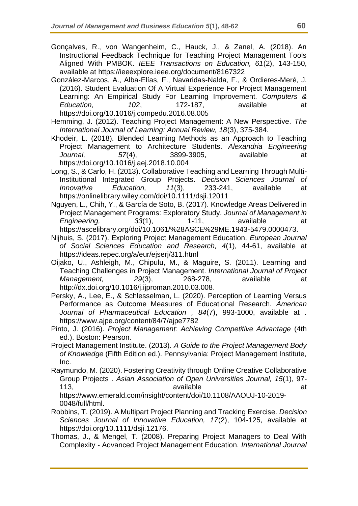- Gonçalves, R., von Wangenheim, C., Hauck, J., & Zanel, A. (2018). An Instructional Feedback Technique for Teaching Project Management Tools Aligned With PMBOK. *IEEE Transactions on Education, 61*(2), 143-150, available at https://ieeexplore.ieee.org/document/8167322
- González-Marcos, A., Alba-Elías, F., Navaridas-Nalda, F., & Ordieres-Meré, J. (2016). Student Evaluation Of A Virtual Experience For Project Management Learning: An Empirical Study For Learning Improvement. *Computers & Education, 102*, 172-187, available at https://doi.org/10.1016/j.compedu.2016.08.005
- Hemming, J. (2012). Teaching Project Management: A New Perspective. *The International Journal of Learning: Annual Review, 18*(3), 375-384.
- Khodeir, L. (2018). Blended Learning Methods as an Approach to Teaching Project Management to Architecture Students. *Alexandria Engineering Journal, 57*(4), 3899-3905, available at https://doi.org/10.1016/j.aej.2018.10.004
- Long, S., & Carlo, H. (2013). Collaborative Teaching and Learning Through Multi-Institutional Integrated Group Projects. *Decision Sciences Journal of Innovative Education, 11*(3), 233-241, available at https://onlinelibrary.wiley.com/doi/10.1111/dsji.12011
- Nguyen, L., Chih, Y., & García de Soto, B. (2017). Knowledge Areas Delivered in Project Management Programs: Exploratory Study. *Journal of Management in Engineering, 33*(1), 1-11, available at https://ascelibrary.org/doi/10.1061/%28ASCE%29ME.1943-5479.0000473.
- Nijhuis, S. (2017). Exploring Project Management Education. *European Journal of Social Sciences Education and Research, 4*(1), 44-61, available at https://ideas.repec.org/a/eur/ejserj/311.html
- Oijako, U., Ashleigh, M., Chipulu, M., & Maguire, S. (2011). Learning and Teaching Challenges in Project Management. *International Journal of Project Management,* 29(3), 268-278, available at http://dx.doi.org/10.1016/j.ijproman.2010.03.008.
- Persky, A., Lee, E., & Schlesselman, L. (2020). Perception of Learning Versus Performance as Outcome Measures of Educational Research. *American Journal of Pharmaceutical Education , 84*(7), 993-1000, available at . https://www.ajpe.org/content/84/7/ajpe7782
- Pinto, J. (2016). *Project Management: Achieving Competitive Advantage* (4th ed.). Boston: Pearson.
- Project Management Institute. (2013). *A Guide to the Project Management Body of Knowledge* (Fifth Edition ed.). Pennsylvania: Project Management Institute, Inc.
- Raymundo, M. (2020). Fostering Creativity through Online Creative Collaborative Group Projects . *Asian Association of Open Universities Journal, 15*(1), 97- 113, available and the state at the state at the state at the state at the state at the state at the state at  $\alpha$ https://www.emerald.com/insight/content/doi/10.1108/AAOUJ-10-2019- 0048/full/html.
- Robbins, T. (2019). A Multipart Project Planning and Tracking Exercise. *Decision Sciences Journal of Innovative Education, 17*(2), 104-125, available at https://doi.org/10.1111/dsji.12176.
- Thomas, J., & Mengel, T. (2008). Preparing Project Managers to Deal With Complexity - Advanced Project Management Education. *International Journal*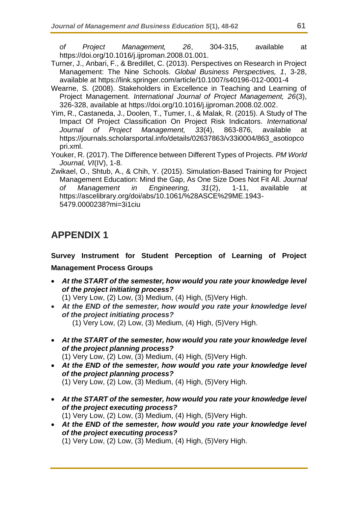*of Project Management, 26*, 304-315, available at https://doi.org/10.1016/j.ijproman.2008.01.001.

- Turner, J., Anbari, F., & Bredillet, C. (2013). Perspectives on Research in Project Management: The Nine Schools. *Global Business Perspectives, 1*, 3-28, available at https://link.springer.com/article/10.1007/s40196-012-0001-4
- Wearne, S. (2008). Stakeholders in Excellence in Teaching and Learning of Project Management. *International Journal of Project Management, 26*(3), 326-328, available at https://doi.org/10.1016/j.ijproman.2008.02.002.
- Yim, R., Castaneda, J., Doolen, T., Tumer, I., & Malak, R. (2015). A Study of The Impact Of Project Classification On Project Risk Indicators. *International Journal of Project Management, 33*(4), 863-876, available at https://journals.scholarsportal.info/details/02637863/v33i0004/863\_asotiopco pri.xml.
- Youker, R. (2017). The Difference between Different Types of Projects. *PM World Journal, VI*(IV), 1-8.
- Zwikael, O., Shtub, A., & Chih, Y. (2015). Simulation-Based Training for Project Management Education: Mind the Gap, As One Size Does Not Fit All. *Journal of Management in Engineering, 31*(2), 1-11, available at https://ascelibrary.org/doi/abs/10.1061/%28ASCE%29ME.1943- 5479.0000238?mi=3i1ciu

# **APPENDIX 1**

## **Survey Instrument for Student Perception of Learning of Project Management Process Groups**

• *At the START of the semester, how would you rate your knowledge level of the project initiating process?*

(1) Very Low, (2) Low, (3) Medium, (4) High, (5)Very High.

- *At the END of the semester, how would you rate your knowledge level of the project initiating process?*  $(1)$  Very Low,  $(2)$  Low,  $(3)$  Medium,  $(4)$  High,  $(5)$ Very High.
- *At the START of the semester, how would you rate your knowledge level of the project planning process?*

(1) Very Low, (2) Low, (3) Medium, (4) High, (5)Very High.

- *At the END of the semester, how would you rate your knowledge level of the project planning process?* (1) Very Low, (2) Low, (3) Medium, (4) High, (5)Very High.
- *At the START of the semester, how would you rate your knowledge level of the project executing process?* (1) Very Low, (2) Low, (3) Medium, (4) High, (5)Very High.
- *At the END of the semester, how would you rate your knowledge level of the project executing process?*

(1) Very Low, (2) Low, (3) Medium, (4) High, (5)Very High.